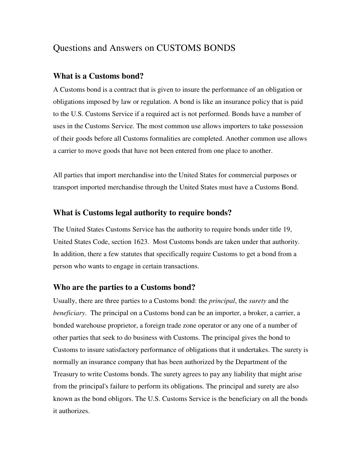# Questions and Answers on CUSTOMS BONDS

## **What is a Customs bond?**

A Customs bond is a contract that is given to insure the performance of an obligation or obligations imposed by law or regulation. A bond is like an insurance policy that is paid to the U.S. Customs Service if a required act is not performed. Bonds have a number of uses in the Customs Service. The most common use allows importers to take possession of their goods before all Customs formalities are completed. Another common use allows a carrier to move goods that have not been entered from one place to another.

All parties that import merchandise into the United States for commercial purposes or transport imported merchandise through the United States must have a Customs Bond.

## **What is Customs legal authority to require bonds?**

The United States Customs Service has the authority to require bonds under title 19, United States Code, section 1623. Most Customs bonds are taken under that authority. In addition, there a few statutes that specifically require Customs to get a bond from a person who wants to engage in certain transactions.

## **Who are the parties to a Customs bond?**

Usually, there are three parties to a Customs bond: the *principal*, the *surety* and the *beneficiary*. The principal on a Customs bond can be an importer, a broker, a carrier, a bonded warehouse proprietor, a foreign trade zone operator or any one of a number of other parties that seek to do business with Customs. The principal gives the bond to Customs to insure satisfactory performance of obligations that it undertakes. The surety is normally an insurance company that has been authorized by the Department of the Treasury to write Customs bonds. The surety agrees to pay any liability that might arise from the principal's failure to perform its obligations. The principal and surety are also known as the bond obligors. The U.S. Customs Service is the beneficiary on all the bonds it authorizes.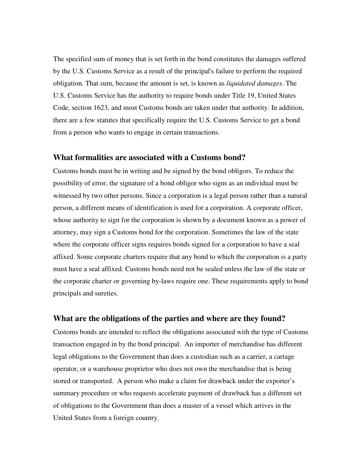The specified sum of money that is set forth in the bond constitutes the damages suffered by the U.S. Customs Service as a result of the principal's failure to perform the required obligation. That sum, because the amount is set, is known as *liquidated damages*. The U.S. Customs Service has the authority to require bonds under Title 19, United States Code, section 1623, and most Customs bonds are taken under that authority. In addition, there are a few statutes that specifically require the U.S. Customs Service to get a bond from a person who wants to engage in certain transactions.

#### **What formalities are associated with a Customs bond?**

Customs bonds must be in writing and be signed by the bond obligors. To reduce the possibility of error, the signature of a bond obligor who signs as an individual must be witnessed by two other persons. Since a corporation is a legal person rather than a natural person, a different means of identification is used for a corporation. A corporate officer, whose authority to sign for the corporation is shown by a document known as a power of attorney, may sign a Customs bond for the corporation. Sometimes the law of the state where the corporate officer signs requires bonds signed for a corporation to have a seal affixed. Some corporate charters require that any bond to which the corporation is a party must have a seal affixed. Customs bonds need not be sealed unless the law of the state or the corporate charter or governing by-laws require one. These requirements apply to bond principals and sureties.

### **What are the obligations of the parties and where are they found?**

Customs bonds are intended to reflect the obligations associated with the type of Customs transaction engaged in by the bond principal. An importer of merchandise has different legal obligations to the Government than does a custodian such as a carrier, a cartage operator, or a warehouse proprietor who does not own the merchandise that is being stored or transported. A person who make a claim for drawback under the exporter's summary procedure or who requests accelerate payment of drawback has a different set of obligations to the Government than does a master of a vessel which arrives in the United States from a foreign country.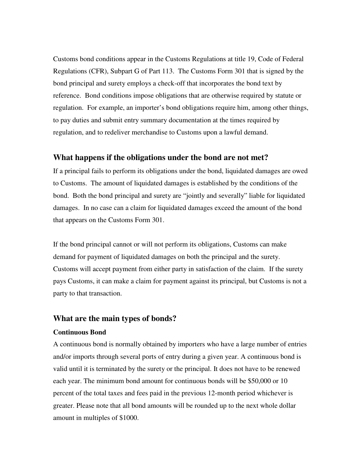Customs bond conditions appear in the Customs Regulations at title 19, Code of Federal Regulations (CFR), Subpart G of Part 113. The Customs Form 301 that is signed by the bond principal and surety employs a check-off that incorporates the bond text by reference. Bond conditions impose obligations that are otherwise required by statute or regulation. For example, an importer's bond obligations require him, among other things, to pay duties and submit entry summary documentation at the times required by regulation, and to redeliver merchandise to Customs upon a lawful demand.

#### **What happens if the obligations under the bond are not met?**

If a principal fails to perform its obligations under the bond, liquidated damages are owed to Customs. The amount of liquidated damages is established by the conditions of the bond. Both the bond principal and surety are "jointly and severally" liable for liquidated damages. In no case can a claim for liquidated damages exceed the amount of the bond that appears on the Customs Form 301.

If the bond principal cannot or will not perform its obligations, Customs can make demand for payment of liquidated damages on both the principal and the surety. Customs will accept payment from either party in satisfaction of the claim. If the surety pays Customs, it can make a claim for payment against its principal, but Customs is not a party to that transaction.

### **What are the main types of bonds?**

#### **Continuous Bond**

A continuous bond is normally obtained by importers who have a large number of entries and/or imports through several ports of entry during a given year. A continuous bond is valid until it is terminated by the surety or the principal. It does not have to be renewed each year. The minimum bond amount for continuous bonds will be \$50,000 or 10 percent of the total taxes and fees paid in the previous 12-month period whichever is greater. Please note that all bond amounts will be rounded up to the next whole dollar amount in multiples of \$1000.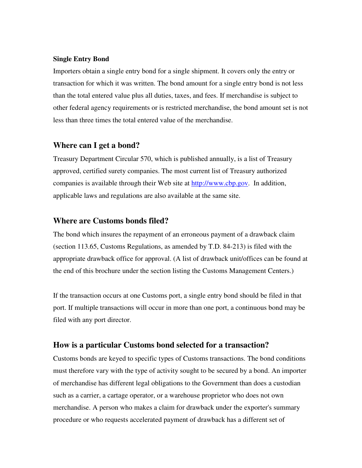#### **Single Entry Bond**

Importers obtain a single entry bond for a single shipment. It covers only the entry or transaction for which it was written. The bond amount for a single entry bond is not less than the total entered value plus all duties, taxes, and fees. If merchandise is subject to other federal agency requirements or is restricted merchandise, the bond amount set is not less than three times the total entered value of the merchandise.

## **Where can I get a bond?**

Treasury Department Circular 570, which is published annually, is a list of Treasury approved, certified surety companies. The most current list of Treasury authorized companies is available through their Web site at http://www.cbp.gov. In addition, applicable laws and regulations are also available at the same site.

### **Where are Customs bonds filed?**

The bond which insures the repayment of an erroneous payment of a drawback claim (section 113.65, Customs Regulations, as amended by T.D. 84-213) is filed with the appropriate drawback office for approval. (A list of drawback unit/offices can be found at the end of this brochure under the section listing the Customs Management Centers.)

If the transaction occurs at one Customs port, a single entry bond should be filed in that port. If multiple transactions will occur in more than one port, a continuous bond may be filed with any port director.

## **How is a particular Customs bond selected for a transaction?**

Customs bonds are keyed to specific types of Customs transactions. The bond conditions must therefore vary with the type of activity sought to be secured by a bond. An importer of merchandise has different legal obligations to the Government than does a custodian such as a carrier, a cartage operator, or a warehouse proprietor who does not own merchandise. A person who makes a claim for drawback under the exporter's summary procedure or who requests accelerated payment of drawback has a different set of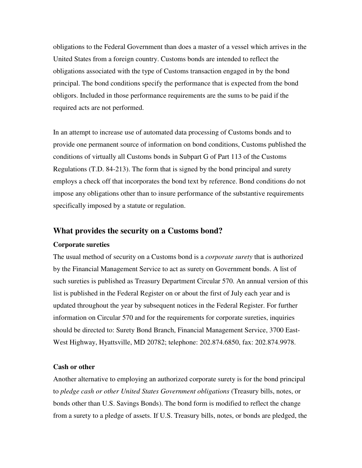obligations to the Federal Government than does a master of a vessel which arrives in the United States from a foreign country. Customs bonds are intended to reflect the obligations associated with the type of Customs transaction engaged in by the bond principal. The bond conditions specify the performance that is expected from the bond obligors. Included in those performance requirements are the sums to be paid if the required acts are not performed.

In an attempt to increase use of automated data processing of Customs bonds and to provide one permanent source of information on bond conditions, Customs published the conditions of virtually all Customs bonds in Subpart G of Part 113 of the Customs Regulations (T.D. 84-213). The form that is signed by the bond principal and surety employs a check off that incorporates the bond text by reference. Bond conditions do not impose any obligations other than to insure performance of the substantive requirements specifically imposed by a statute or regulation.

#### **What provides the security on a Customs bond?**

#### **Corporate sureties**

The usual method of security on a Customs bond is a *corporate surety* that is authorized by the Financial Management Service to act as surety on Government bonds. A list of such sureties is published as Treasury Department Circular 570. An annual version of this list is published in the Federal Register on or about the first of July each year and is updated throughout the year by subsequent notices in the Federal Register. For further information on Circular 570 and for the requirements for corporate sureties, inquiries should be directed to: Surety Bond Branch, Financial Management Service, 3700 East-West Highway, Hyattsville, MD 20782; telephone: 202.874.6850, fax: 202.874.9978.

#### **Cash or other**

Another alternative to employing an authorized corporate surety is for the bond principal to *pledge cash or other United States Government obligations* (Treasury bills, notes, or bonds other than U.S. Savings Bonds). The bond form is modified to reflect the change from a surety to a pledge of assets. If U.S. Treasury bills, notes, or bonds are pledged, the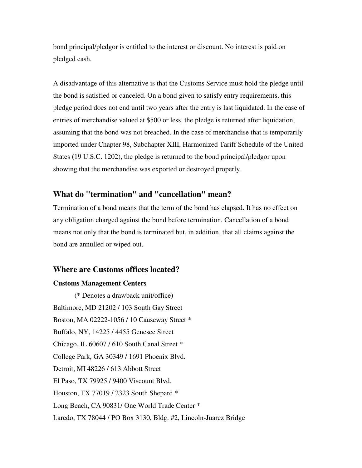bond principal/pledgor is entitled to the interest or discount. No interest is paid on pledged cash.

A disadvantage of this alternative is that the Customs Service must hold the pledge until the bond is satisfied or canceled. On a bond given to satisfy entry requirements, this pledge period does not end until two years after the entry is last liquidated. In the case of entries of merchandise valued at \$500 or less, the pledge is returned after liquidation, assuming that the bond was not breached. In the case of merchandise that is temporarily imported under Chapter 98, Subchapter XIII, Harmonized Tariff Schedule of the United States (19 U.S.C. 1202), the pledge is returned to the bond principal/pledgor upon showing that the merchandise was exported or destroyed properly.

## **What do "termination" and "cancellation" mean?**

Termination of a bond means that the term of the bond has elapsed. It has no effect on any obligation charged against the bond before termination. Cancellation of a bond means not only that the bond is terminated but, in addition, that all claims against the bond are annulled or wiped out.

## **Where are Customs offices located?**

#### **Customs Management Centers**

(\* Denotes a drawback unit/office) Baltimore, MD 21202 / 103 South Gay Street Boston, MA 02222-1056 / 10 Causeway Street \* Buffalo, NY, 14225 / 4455 Genesee Street Chicago, IL 60607 / 610 South Canal Street \* College Park, GA 30349 / 1691 Phoenix Blvd. Detroit, MI 48226 / 613 Abbott Street El Paso, TX 79925 / 9400 Viscount Blvd. Houston, TX 77019 / 2323 South Shepard \* Long Beach, CA 90831/ One World Trade Center \* Laredo, TX 78044 / PO Box 3130, Bldg. #2, Lincoln-Juarez Bridge